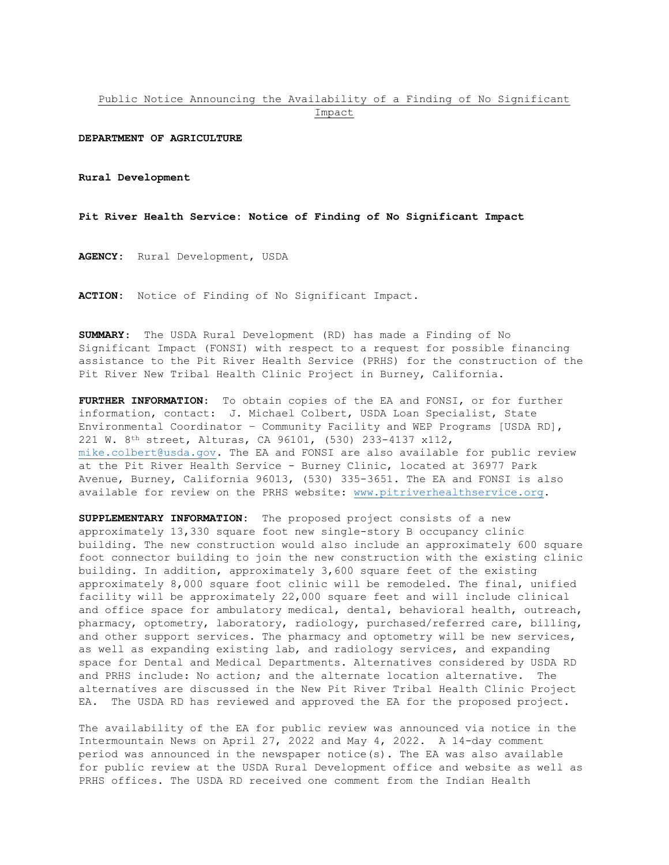## Public Notice Announcing the Availability of a Finding of No Significant Impact

## **DEPARTMENT OF AGRICULTURE**

**Rural Development**

**Pit River Health Service: Notice of Finding of No Significant Impact**

**AGENCY:** Rural Development, USDA

**ACTION:** Notice of Finding of No Significant Impact.

**SUMMARY**: The USDA Rural Development (RD) has made a Finding of No Significant Impact (FONSI) with respect to a request for possible financing assistance to the Pit River Health Service (PRHS) for the construction of the Pit River New Tribal Health Clinic Project in Burney, California.

**FURTHER INFORMATION**: To obtain copies of the EA and FONSI, or for further information, contact: J. Michael Colbert, USDA Loan Specialist, State Environmental Coordinator – Community Facility and WEP Programs [USDA RD], 221 W. 8th street, Alturas, CA 96101, (530) 233-4137 x112, [mike.colbert@usda.gov.](mailto:mike.colbert@usda.gov) The EA and FONSI are also available for public review at the Pit River Health Service - Burney Clinic, located at 36977 Park Avenue, Burney, California 96013, (530) 335-3651. The EA and FONSI is also available for review on the PRHS website: [www.pitriverhealthservice.org.](http://www.pitriverhealthservice.org/)

**SUPPLEMENTARY INFORMATION:** The proposed project consists of a new approximately 13,330 square foot new single-story B occupancy clinic building. The new construction would also include an approximately 600 square foot connector building to join the new construction with the existing clinic building. In addition, approximately 3,600 square feet of the existing approximately 8,000 square foot clinic will be remodeled. The final, unified facility will be approximately 22,000 square feet and will include clinical and office space for ambulatory medical, dental, behavioral health, outreach, pharmacy, optometry, laboratory, radiology, purchased/referred care, billing, and other support services. The pharmacy and optometry will be new services, as well as expanding existing lab, and radiology services, and expanding space for Dental and Medical Departments. Alternatives considered by USDA RD and PRHS include: No action; and the alternate location alternative. The alternatives are discussed in the New Pit River Tribal Health Clinic Project EA. The USDA RD has reviewed and approved the EA for the proposed project.

The availability of the EA for public review was announced via notice in the Intermountain News on April 27, 2022 and May 4, 2022. A 14-day comment period was announced in the newspaper notice(s). The EA was also available for public review at the USDA Rural Development office and website as well as PRHS offices. The USDA RD received one comment from the Indian Health